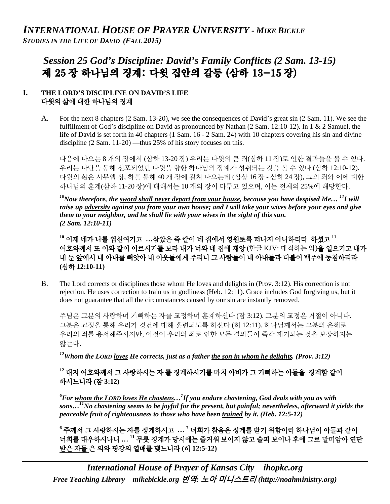# *Session 25 God's Discipline: David's Family Conflicts (2 Sam. 13-15)* 제 25 장 하나님의 징계: 다윗 집안의 갈등 (삼하 13-15 장)

### **I. THE LORD'S DISCIPLINE ON DAVID'S LIFE** 다윗의 삶에 대한 하나님의 징계

A. For the next 8 chapters (2 Sam. 13-20), we see the consequences of David's great sin (2 Sam. 11). We see the fulfillment of God's discipline on David as pronounced by Nathan (2 Sam. 12:10-12). In 1 & 2 Samuel, the life of David is set forth in 40 chapters (1 Sam. 16 - 2 Sam. 24) with 10 chapters covering his sin and divine discipline (2 Sam. 11-20) —thus 25% of his story focuses on this.

다음에 나오는 8 개의 장에서 (삼하 13-20 장) 우리는 다윗의 큰 죄(삼하 11 장)로 인한 결과들을 볼 수 있다. 우리는 나단을 통해 선포되었던 다윗을 향한 하나님의 징계가 성취되는 것을 볼 수 있다 (삼하 12:10-12). 다윗의 삶은 사무엘 상, 하를 통해 40 개 장에 걸쳐 나오는데 (삼상 16 장 - 삼하 24 장), 그의 죄와 이에 대한 하나님의 훈계(삼하 11-20 장)에 대해서는 10 개의 장이 다루고 있으며, 이는 전체의 25%에 해당한다.

<sup>10</sup>Now therefore, the <u>sword shall never depart from your house</u>, because you have despised Me... <sup>11</sup>I will *raise up adversity against you from your own house; and I will take your wives before your eyes and give them to your neighbor, and he shall lie with your wives in the sight of this sun. (2 Sam. 12:10-11)*

**<sup>10</sup>** 이제 네가 나를 업신여기고 **…**삼았은 즉 칼이 네 집에서 영원토록 떠나지 아니하리라 하셨고 **<sup>11</sup>** 여호와께서 또 이와 같이 이르시기를 보라 내가 너와 네 집에 재앙 (한글 KJV: 대적하는 악)을 일으키고 내가 네 눈 앞에서 네 아내를 빼앗아 네 이웃들에게 주리니 그 사람들이 네 아내들과 더불어 백주에 동침하리라 **(**삼하 **12:10-11)**

B. The Lord corrects or disciplines those whom He loves and delights in (Prov. 3:12). His correction is not rejection. He uses correction to train us in godliness (Heb. 12:11). Grace includes God forgiving us, but it does not guarantee that all the circumstances caused by our sin are instantly removed.

주님은 그분의 사랑하며 기뻐하는 자를 교정하며 훈계하신다 (잠 3:12). 그분의 교정은 거절이 아니다. 그분은 교정을 통해 우리가 경건에 대해 훈련되도록 하신다 (히 12:11). 하나님께서는 그분의 은혜로 우리의 죄를 용서해주시지만, 이것이 우리의 죄로 인한 모든 결과들이 즉각 제거되는 것을 보장하지는 않는다.

*12Whom the LORD loves He corrects, just as a father the son in whom he delights. (Prov. 3:12)*

## **<sup>12</sup>** 대저 여호와께서 그 사랑하시는 자 를 징계하시기를 마치 아비가 그 기뻐하는 아들을 징계함 같이 하시느니라 **(**잠 **3:12)**

<sup>6</sup> For <u>whom the LORD loves He chastens</u>...<sup>7</sup> If you endure chastening, God deals with you as with *sons…11No chastening seems to be joyful for the present, but painful; nevertheless, afterward it yields the peaceable fruit of righteousness to those who have been trained by it. (Heb. 12:5-12)*

**<sup>6</sup>** 주께서 그 사랑하시는 자를 징계하시고 **… <sup>7</sup>** 너희가 참음은 징계를 받기 위함이라 하나님이 아들과 같이 너희를 대우하시나니 **… 11** 무릇 징계가 당시에는 즐거워 보이지 않고 슬퍼 보이나 후에 그로 말미암아 연단 받은 자들 은 의와 평강의 열매를 맺느니라 **(**히 **12:5-12)**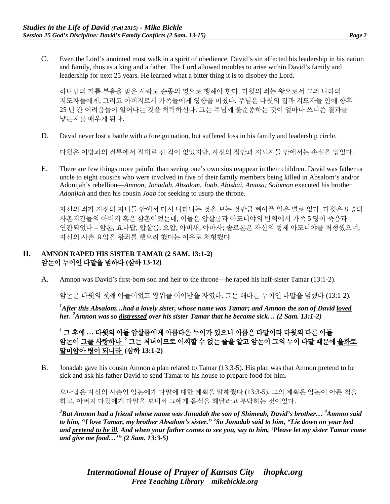C. Even the Lord's anointed must walk in a spirit of obedience. David's sin affected his leadership in his nation and family, thus as a king and a father. The Lord allowed troubles to arise within David's family and leadership for next 25 years. He learned what a bitter thing it is to disobey the Lord.

하나님의 기름 부음을 받은 사람도 순종의 영으로 행해야 한다. 다윗의 죄는 왕으로서 그의 나라의 지도자들에게, 그리고 아버지로서 가족들에게 영향을 미쳤다. 주님은 다윗의 집과 지도자들 안에 향후 25 년 간 어려움들이 일어나는 것을 허락하신다. 그는 주님께 불순종하는 것이 얼마나 쓰디쓴 결과를 낳는지를 배우게 된다.

D. David never lost a battle with a foreign nation, but suffered loss in his family and leadership circle.

다윗은 이방과의 전투에서 절대로 진 적이 없었지만, 자신의 집안과 지도자들 안에서는 손실을 입었다.

E. There are few things more painful than seeing one's own sins reappear in their children. David was father or uncle to eight cousins who were involved in five of their family members being killed in Absalom's and/or Adonijah's rebellion—*Amnon*, *Jonadab*, *Absalom*, *Joab*, *Abishai, Amasa; Solomon* executed his brother *Adonijah* and then his cousin *Joab* for seeking to usurp the throne.

자신의 죄가 자신의 자녀들 안에서 다시 나타나는 것을 보는 것만큼 뼈아픈 일은 별로 없다. 다윗은 8 명의 사촌지간들의 아버지 혹은 삼촌이었는데, 이들은 압살롬과 아도니야의 반역에서 가족 5 명이 죽음과 연관되었다 – 암몬, 요나답, 압살롬, 요압, 아비새, 아마사; 솔로몬은 자신의 형제 아도니야를 처형했으며, 자신의 사촌 요압을 왕좌를 뺏으려 했다는 이유로 처형했다.

#### **II. AMNON RAPED HIS SISTER TAMAR (2 SAM. 13:1-2)** 암논이 누이인 다말을 범하다 **(**삼하 **13-12)**

A. Amnon was David's first-born son and heir to the throne—he raped his half-sister Tamar (13:1-2).

암논은 다윗의 첫째 아들이었고 왕위를 이어받을 자였다. 그는 배다른 누이인 다말을 범했다 (13:1-2).

*1 After this Absalom…had a lovely sister, whose name was Tamar; and Amnon the son of David loved her. <sup>2</sup> Amnon was so distressed over his sister Tamar that he became sick… (2 Sam. 13:1-2)*

## **<sup>1</sup>** 그 후에 **…** 다윗의 아들 압살롬에게 아름다운 누이가 있으니 이름은 다말이라 다윗의 다른 아들 암논이 그를 사랑하나 **<sup>2</sup>** 그는 처녀이므로 어찌할 수 없는 줄을 알고 암논이 그의 누이 다말 때문에 울화로 말미암아 병이 되니라 **(**삼하 **13:1-2)**

B. Jonadab gave his cousin Amnon a plan related to Tamar (13:3-5). His plan was that Amnon pretend to be sick and ask his father David to send Tamar to his house to prepare food for him.

요나답은 자신의 사촌인 암논에게 다말에 대한 계획을 말해줬다 (13:3-5). 그의 계획은 암논이 아픈 척을 하고, 아버지 다윗에게 다말을 보내서 그에게 음식을 해달라고 부탁하는 것이었다.

*3 But Amnon had a friend whose name was Jonadab the son of Shimeah, David's brother… <sup>4</sup> Amnon said to him, "I love Tamar, my brother Absalom's sister." <sup>5</sup> So Jonadab said to him, "Lie down on your bed and pretend to be ill. And when your father comes to see you, say to him, 'Please let my sister Tamar come and give me food…'" (2 Sam. 13:3-5)*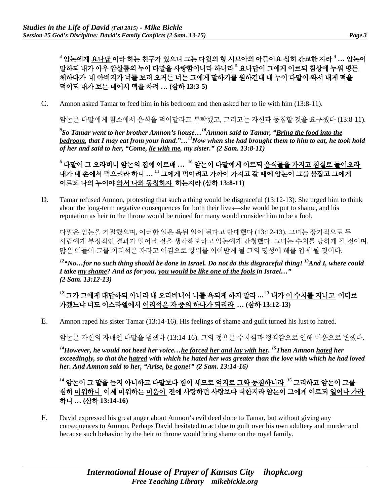**<sup>3</sup>** 암논에게 요나답 이라 하는 친구가 있으니 그는 다윗의 형 시므아의 아들이요 심히 간교한 자라 **<sup>4</sup> …** 암논이 말하되 내가 아우 압살롬의 누이 다말을 사랑함이니라 하니라 **<sup>5</sup>** 요나답이 그에게 이르되 침상에 누워 병든 체하다가 네 아버지가 너를 보러 오거든 너는 그에게 말하기를 원하건대 내 누이 다말이 와서 내게 떡을 먹이되 내가 보는 데에서 떡을 차려 **… (**삼하 **13:3-5)**

C. Amnon asked Tamar to feed him in his bedroom and then asked her to lie with him (13:8-11).

암논은 다말에게 침소에서 음식을 먹여달라고 부탁했고, 그러고는 자신과 동침할 것을 요구했다 (13:8-11).

*8 So Tamar went to her brother Amnon's house…10Amnon said to Tamar, "Bring the food into the bedroom, that I may eat from your hand."…11Now when she had brought them to him to eat, he took hold of her and said to her, "Come, lie with me, my sister." (2 Sam. 13:8-11)*

**<sup>8</sup>** 다말이 그 오라버니 암논의 집에 이르매 **… <sup>10</sup>** 암논이 다말에게 이르되 음식물을 가지고 침실로 들어오라 내가 네 손에서 먹으리라 하니 **… <sup>11</sup>** 그에게 먹이려고 가까이 가지고 갈 때에 암논이 그를 붙잡고 그에게 이르되 나의 누이야 와서 나와 동침하자 하는지라 **(**삼하 **13:8-11)**

D. Tamar refused Amnon, protesting that such a thing would be disgraceful (13:12-13). She urged him to think about the long-term negative consequences for both their lives—she would be put to shame, and his reputation as heir to the throne would be ruined for many would consider him to be a fool.

다말은 암논을 거절했으며, 이러한 일은 욕된 일이 된다고 반대했다 (13:12-13). 그녀는 장기적으로 두 사람에게 부정적인 결과가 일어날 것을 생각해보라고 암논에게 간청했다. 그녀는 수치를 당하게 될 것이며, 많은 이들이 그를 어리석은 자라고 여김으로 왕위를 이어받게 될 그의 명성에 해를 입게 될 것이다.

<sup>12</sup>"No...for no such thing should be done in Israel. Do not do this disgraceful thing! <sup>13</sup>And I, where could *I take my shame? And as for you, you would be like one of the fools in Israel…" (2 Sam. 13:12-13)*

## **<sup>12</sup>** 그가 그에게 대답하되 아니라 내 오라버니여 나를 욕되게 하지 말라 **... <sup>13</sup>** 내가 이 수치를 지니고 어디로 가겠느냐 너도 이스라엘에서 어리석은 자 중의 하나가 되리라 **… (**삼하 **13:12-13)**

E. Amnon raped his sister Tamar (13:14-16). His feelings of shame and guilt turned his lust to hatred.

암논은 자신의 자매인 다말을 범했다 (13:14-16). 그의 정욕은 수치심과 정죄감으로 인해 미움으로 변했다.

*14However, he would not heed her voice…he forced her and lay with her. 15Then Amnon hated her exceedingly, so that the hatred with which he hated her was greater than the love with which he had loved her. And Amnon said to her, "Arise, be gone!" (2 Sam. 13:14-16)*

**<sup>14</sup>** 암논이 그 말을 듣지 아니하고 다말보다 힘이 세므로 억지로 그와 동침하니라 **<sup>15</sup>** 그리하고 암논이 그를 심히 미워하니 이제 미워하는 미움이 전에 사랑하던 사랑보다 더한지라 암논이 그에게 이르되 일어나 가라 하니 **… (**삼하 **13:14-16)**

F. David expressed his great anger about Amnon's evil deed done to Tamar, but without giving any consequences to Amnon. Perhaps David hesitated to act due to guilt over his own adultery and murder and because such behavior by the heir to throne would bring shame on the royal family.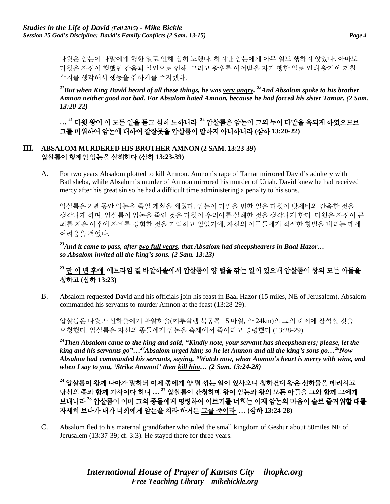다윗은 암논이 다말에게 행한 일로 인해 심히 노했다. 하지만 암논에게 아무 일도 행하지 않았다. 아마도 다윗은 자신이 행했던 간음과 살인으로 인해, 그리고 왕위를 이어받을 자가 행한 일로 인해 왕가에 끼칠 수치를 생각해서 행동을 취하기를 주저했다.

<sup>21</sup>But when King David heard of all these things, he was very angry. <sup>22</sup>And Absalom spoke to his brother *Amnon neither good nor bad. For Absalom hated Amnon, because he had forced his sister Tamar. (2 Sam. 13:20-22)*

**… <sup>21</sup>** 다윗 왕이 이 모든 일을 듣고 심히 노하니라 **<sup>22</sup>** 압살롬은 암논이 그의 누이 다말을 욕되게 하였으므로 그를 미워하여 암논에 대하여 잘잘못을 압살롬이 말하지 아니하니라 **(**삼하 **13:20-22)**

#### **III. ABSALOM MURDERED HIS BROTHER AMNON (2 SAM. 13:23-39)** 압살롬이 형제인 암논을 살해하다 **(**삼하 **13:23-39)**

A. For two years Absalom plotted to kill Amnon. Amnon's rape of Tamar mirrored David's adultery with Bathsheba, while Absalom's murder of Amnon mirrored his murder of Uriah. David knew he had received mercy after his great sin so he had a difficult time administering a penalty to his sons.

압살롬은 2 년 동안 암논을 죽일 계획을 세웠다. 암논이 다말을 범한 일은 다윗이 밧세바와 간음한 것을 생각나게 하며, 암살롬이 암논을 죽인 것은 다윗이 우리아를 살해한 것을 생각나게 한다. 다윗은 자신이 큰 죄를 지은 이후에 자비를 경험한 것을 기억하고 있었기에, 자신의 아들들에게 적절한 형벌을 내리는 데에 어려움을 겪었다.

*23And it came to pass, after two full years, that Absalom had sheepshearers in Baal Hazor… so Absalom invited all the king's sons. (2 Sam. 13:23)*

## **<sup>23</sup>** 만 이 년 후에 에브라임 곁 바알하솔에서 압살롬이 양 털을 깎는 일이 있으매 압살롬이 왕의 모든 아들을 청하고 **(**삼하 **13:23)**

B. Absalom requested David and his officials join his feast in Baal Hazor (15 miles, NE of Jerusalem). Absalom commanded his servants to murder Amnon at the feast (13:28-29).

압살롬은 다윗과 신하들에게 바알하솔(예루살렘 북동쪽 15 마일, 약 24km)의 그의 축제에 참석할 것을 요청했다. 압살롬은 자신의 종들에게 암논을 축제에서 죽이라고 명령했다 (13:28-29).

*24Then Absalom came to the king and said, "Kindly note, your servant has sheepshearers; please, let the king and his servants go"…27Absalom urged him; so he let Amnon and all the king's sons go…28Now Absalom had commanded his servants, saying, "Watch now, when Amnon's heart is merry with wine, and when I say to you, 'Strike Amnon!' then kill him… (2 Sam. 13:24-28)*

**<sup>24</sup>** 압살롬이 왕께 나아가 말하되 이제 종에게 양 털 깎는 일이 있사오니 청하건대 왕은 신하들을 데리시고 당신의 종과 함께 가사이다 하니 **… <sup>27</sup>** 압살롬이 간청하매 왕이 암논과 왕의 모든 아들을 그와 함께 그에게 보내니라 **<sup>28</sup>** 압살롬이 이미 그의 종들에게 명령하여 이르기를 너희는 이제 암논의 마음이 술로 즐거워할 때를 자세히 보다가 내가 너희에게 암논을 치라 하거든 그를 죽이라 **… (**삼하 **13:24-28)**

C. Absalom fled to his maternal grandfather who ruled the small kingdom of Geshur about 80miles NE of Jerusalem (13:37-39; cf. 3:3). He stayed there for three years.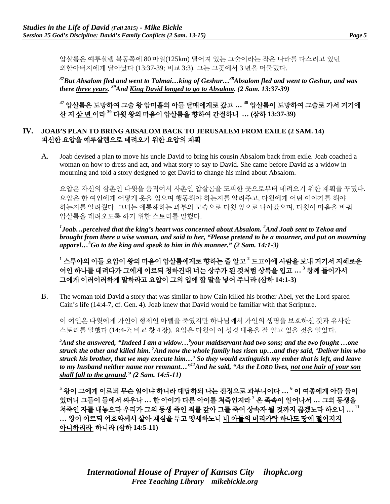압살롬은 예루살렘 북동쪽에 80 마일(125km) 떨어져 있는 그술이라는 작은 나라를 다스리고 있던 외할아버지에게 달아났다 (13:37-39; 비교 3:3). 그는 그곳에서 3 년을 머물렀다.

*37But Absalom fled and went to Talmai…king of Geshur…38Absalom fled and went to Geshur, and was there three years. 39And King David longed to go to Absalom. (2 Sam. 13:37-39)*

**<sup>37</sup>** 압살롬은 도망하여 그술 왕 암미훌의 아들 달매에게로 갔고 **… <sup>38</sup>** 압살롬이 도망하여 그술로 가서 거기에 산 지 삼 년 이라 **<sup>39</sup>** 다윗 왕의 마음이 압살롬을 향하여 간절하니 **… (**삼하 **13:37-39)**

#### **IV. JOAB'S PLAN TO BRING ABSALOM BACK TO JERUSALEM FROM EXILE (2 SAM. 14)** 피신한 요압을 예루살렘으로 데려오기 위한 요압의 계획

A. Joab devised a plan to move his uncle David to bring his cousin Absalom back from exile. Joab coached a woman on how to dress and act, and what story to say to David. She came before David as a widow in mourning and told a story designed to get David to change his mind about Absalom.

요압은 자신의 삼촌인 다윗을 움직여서 사촌인 압살롬을 도피한 곳으로부터 데려오기 위한 계획을 꾸몄다. 요압은 한 여인에게 어떻게 옷을 입으며 행동해야 하는지를 알려주고, 다윗에게 어떤 이야기를 해야 하는지를 알려줬다. 그녀는 애통해하는 과부의 모습으로 다윗 앞으로 나아갔으며, 다윗이 마음을 바꿔 압살롬을 데려오도록 하기 위한 스토리를 말했다.

*1 Joab…perceived that the king's heart was concerned about Absalom. 2 And Joab sent to Tekoa and brought from there a wise woman, and said to her, "Please pretend to be a mourner, and put on mourning apparel…<sup>3</sup> Go to the king and speak to him in this manner." (2 Sam. 14:1-3)*

**<sup>1</sup>** 스루야의 아들 요압이 왕의 마음이 압살롬에게로 향하는 줄 알고 **<sup>2</sup>** 드고아에 사람을 보내 거기서 지혜로운 여인 하나를 데려다가 그에게 이르되 청하건대 너는 상주가 된 것처럼 상복을 입고 **… <sup>3</sup>** 왕께 들어가서 그에게 이러이러하게 말하라고 요압이 그의 입에 할 말을 넣어 주니라 **(**삼하 **14:1-3)**

B. The woman told David a story that was similar to how Cain killed his brother Abel, yet the Lord spared Cain's life (14:4-7, cf. Gen. 4). Joab knew that David would be familiar with that Scripture.

이 여인은 다윗에게 가인이 형제인 아벨을 죽였지만 하나님께서 가인의 생명을 보호하신 것과 유사한 스토리를 말했다 (14:4-7; 비교 창 4 장). 요압은 다윗이 이 성경 내용을 잘 알고 있을 것을 알았다.

*5 And she answered, "Indeed I am a widow…6 your maidservant had two sons; and the two fought …one struck the other and killed him. 7 And now the whole family has risen up…and they said, 'Deliver him who struck his brother, that we may execute him…' So they would extinguish my ember that is left, and leave to my husband neither name nor remnant…"11And he said, "As the LORD lives, not one hair of your son shall fall to the ground." (2 Sam. 14:5-11)*

**<sup>5</sup>** 왕이 그에게 이르되 무슨 일이냐 하니라 대답하되 나는 진정으로 과부니이다 **… <sup>6</sup>** 이 여종에게 아들 둘이 있더니 그들이 들에서 싸우나 **…** 한 아이가 다른 아이를 쳐죽인지라 **<sup>7</sup>** 온 족속이 일어나서 **…** 그의 동생을 쳐죽인 자를 내놓으라 우리가 그의 동생 죽인 죄를 갚아 그를 죽여 상속자 될 것까지 끊겠노라 하오니 **… <sup>11</sup> …** 왕이 이르되 여호와께서 살아 계심을 두고 맹세하노니 네 아들의 머리카락 하나도 땅에 떨어지지 아니하리라 하니라 **(**삼하 **14:5-11)**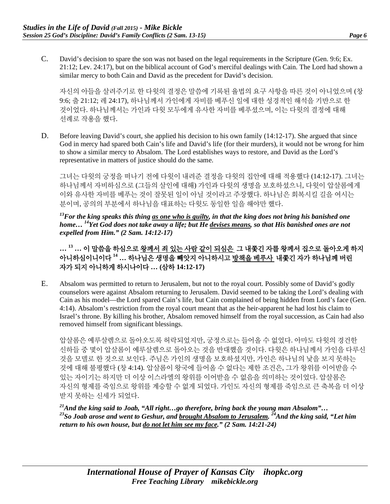C. David's decision to spare the son was not based on the legal requirements in the Scripture (Gen. 9:6; Ex. 21:12; Lev. 24:17), but on the biblical account of God's merciful dealings with Cain. The Lord had shown a similar mercy to both Cain and David as the precedent for David's decision.

자신의 아들을 살려주기로 한 다윗의 결정은 말씀에 기록된 율법의 요구 사항을 따른 것이 아니었으며 (창 9:6; 출 21:12; 레 24:17), 하나님께서 가인에게 자비를 베푸신 일에 대한 성경적인 해석을 기반으로 한 것이었다. 하나님께서는 가인과 다윗 모두에게 유사한 자비를 베푸셨으며, 이는 다윗의 결정에 대해 선례로 작용을 했다.

D. Before leaving David's court, she applied his decision to his own family (14:12-17). She argued that since God in mercy had spared both Cain's life and David's life (for their murders), it would not be wrong for him to show a similar mercy to Absalom. The Lord establishes ways to restore, and David as the Lord's representative in matters of justice should do the same.

그녀는 다윗의 궁정을 떠나기 전에 다윗이 내려준 결정을 다윗의 집안에 대해 적용했다 (14:12-17). 그녀는 하나님께서 자비하심으로 (그들의 살인에 대해) 가인과 다윗의 생명을 보호하셨으니, 다윗이 압살롬에게 이와 유사한 자비를 베푸는 것이 잘못된 일이 아닐 것이라고 주장했다. 하나님은 회복시킬 길을 여시는 분이며, 공의의 부분에서 하나님을 대표하는 다윗도 동일한 일을 해야만 했다.

*13For the king speaks this thing as one who is guilty, in that the king does not bring his banished one home… <sup>14</sup> Yet God does not take away a life; but He devises means, so that His banished ones are not expelled from Him." (2 Sam. 14:12-17)*

**… <sup>13</sup> …** 이 말씀을 하심으로 왕께서 죄 있는 사람 같이 되심은 그 내쫓긴 자를 왕께서 집으로 돌아오게 하지 아니하심이니이다 **<sup>14</sup> …** 하나님은 생명을 빼앗지 아니하시고 방책을 베푸사 내쫓긴 자가 하나님께 버린 자가 되지 아니하게 하시나이다 **… (**삼하 **14:12-17)**

E. Absalom was permitted to return to Jerusalem, but not to the royal court. Possibly some of David's godly counselors were against Absalom returning to Jerusalem. David seemed to be taking the Lord's dealing with Cain as his model—the Lord spared Cain's life, but Cain complained of being hidden from Lord's face (Gen. 4:14). Absalom's restriction from the royal court meant that as the heir-apparent he had lost his claim to Israel's throne. By killing his brother, Absalom removed himself from the royal succession, as Cain had also removed himself from significant blessings.

압살롬은 예루살렘으로 돌아오도록 허락되었지만, 궁정으로는 들어올 수 없었다. 아마도 다윗의 경건한 신하들 중 몇이 압살롬이 예루살렘으로 돌아오는 것을 반대했을 것이다. 다윗은 하나님께서 가인을 다루신 것을 모델로 한 것으로 보인다. 주님은 가인의 생명을 보호하셨지만, 가인은 하나님의 낯을 보지 못하는 것에 대해 불평했다 (창 4:14). 압살롬이 왕국에 들어올 수 없다는 제한 조건은, 그가 왕위를 이어받을 수 있는 자이기는 하지만 더 이상 이스라엘의 왕위를 이어받을 수 없음을 의미하는 것이었다. 압살롬은 자신의 형제를 죽임으로 왕위를 계승할 수 없게 되었다. 가인도 자신의 형제를 죽임으로 큰 축복을 더 이상 받지 못하는 신세가 되었다.

*21And the king said to Joab, "All right…go therefore, bring back the young man Absalom"…*  <sup>23</sup>So Joab arose and went to Geshur, and brought Absalom to Jerusalem. <sup>24</sup>And the king said, "Let him *return to his own house, but do not let him see my face." (2 Sam. 14:21-24)*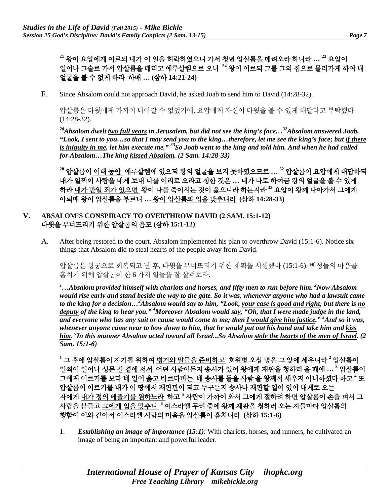**<sup>21</sup>** 왕이 요압에게 이르되 내가 이 일을 허락하였으니 가서 청년 압살롬을 데려오라 하니라 **… <sup>23</sup>** 요압이 일어나 그술로 가서 압살롬을 데리고 예루살렘으로 오니 **<sup>24</sup>** 왕이 이르되 그를 그의 집으로 물러가게 하여 내 얼굴을 볼 수 없게 하라 하매 **… (**삼하 **14:21-24)**

F. Since Absalom could not approach David, he asked Joab to send him to David (14:28-32).

압살롬은 다윗에게 가까이 나아갈 수 없었기에, 요압에게 자신이 다윗을 볼 수 있게 해달라고 부탁했다 (14:28-32).

*28Absalom dwelt two full years in Jerusalem, but did not see the king's face…32Absalom answered Joab, "Look, I sent to you…so that I may send you to the king…therefore, let me see the king's face; but if there is iniquity in me, let him execute me." 33So Joab went to the king and told him. And when he had called for Absalom…The king kissed Absalom. (2 Sam. 14:28-33)*

**<sup>28</sup>** 압살롬이 이태 동안 예루살렘에 있으되 왕의 얼굴을 보지 못하였으므로 **… <sup>32</sup>** 압살롬이 요압에게 대답하되 내가 일찍이 사람을 네게 보내 너를 이리로 오라고 청한 것은 **…** 네가 나로 하여금 왕의 얼굴을 볼 수 있게 하라 내가 만일 죄가 있으면 왕이 나를 죽이시는 것이 옳으니라 하는지라 **<sup>33</sup>** 요압이 왕께 나아가서 그에게 아뢰매 왕이 압살롬을 부르니 **…** 왕이 압살롬과 입을 맞추니라 **(**삼하 **14:28-33)**

#### **V. ABSALOM'S CONSPIRACY TO OVERTHROW DAVID (2 SAM. 15:1-12)** 다윗을 무너뜨리기 위한 압살롬의 음모 **(**삼하 **15:1-12)**

A. After being restored to the court, Absalom implemented his plan to overthrow David (15:1-6). Notice six things that Absalom did to steal hearts of the people away from David.

압살롬은 왕궁으로 회복되고 난 후, 다윗을 무너뜨리기 위한 계획을 시행했다 (15:1-6). 백성들의 마음을 훔치기 위해 압살롬이 한 6 가지 일들을 잘 살펴보라.

<sup>1</sup>...Absalom provided himself with <u>chariots and horses</u>, and fifty men to run before him. <sup>2</sup>Now Absalom *would rise early and stand beside the way to the gate. So it was, whenever anyone who had a lawsuit came to the king for a decision…3 Absalom would say to him, "Look, your case is good and right; but there is no deputy of the king to hear you." 4 Moreover Absalom would say, "Oh, that I were made judge in the land, and everyone who has any suit or cause would come to me; then I would give him justice." 5 And so it was, whenever anyone came near to bow down to him, that he would put out his hand and take him and kiss him. 6 In this manner Absalom acted toward all Israel...So Absalom stole the hearts of the men of Israel. (2 Sam. 15:1-6)*

**<sup>1</sup>** 그 후에 압살롬이 자기를 위하여 병거와 말들을 준비하고 호위병 오십 명을 그 앞에 세우니라 **<sup>2</sup>** 압살롬이 일찍이 일어나 성문 길 곁에 서서 어떤 사람이든지 송사가 있어 왕에게 재판을 청하러 올 때에 **… <sup>3</sup>** 압살롬이 그에게 이르기를 보라 네 일이 옳고 바르다마는 네 송사를 들을 사람 을 왕께서 세우지 아니하셨다 하고 **<sup>4</sup>** 또 압살롬이 이르기를 내가 이 땅에서 재판관이 되고 누구든지 송사나 재판할 일이 있어 내게로 오는 자에게 내가 정의 베풀기를 원하노라 하고 **<sup>5</sup>** 사람이 가까이 와서 그에게 절하려 하면 압살롬이 손을 펴서 그 사람을 붙들고 그에게 입을 맞추니 **<sup>6</sup>** 이스라엘 무리 중에 왕께 재판을 청하러 오는 자들마다 압살롬의 행함이 이와 같아서 이스라엘 사람의 마음을 압살롬이 훔치니라 **(**삼하 **15:1-6)**

1. *Establishing an image of importance (15:1)*: With chariots, horses, and runners, he cultivated an image of being an important and powerful leader.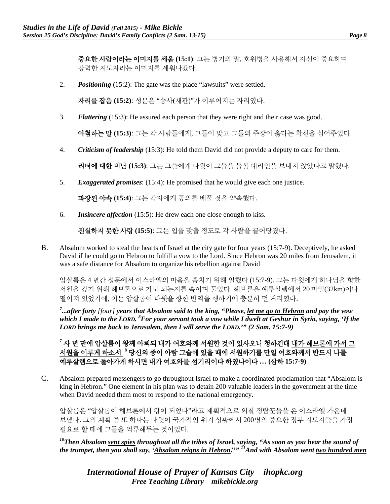중요한 사람이라는 이미지를 세움 **(15:1)**: 그는 병거와 말, 호위병을 사용해서 자신이 중요하며 강력한 지도자라는 이미지를 세워나갔다.

2. *Positioning* (15:2): The gate was the place "lawsuits" were settled.

자리를 잡음 **(15:2)**: 성문은 "송사(재판)"가 이루어지는 자리였다.

3. *Flattering* (15:3): He assured each person that they were right and their case was good.

아첨하는 말 **(15:3)**: 그는 각 사람들에게, 그들이 맞고 그들의 주장이 옳다는 확신을 심어주었다.

4. *Criticism of leadership* (15:3): He told them David did not provide a deputy to care for them.

리더에 대한 비난 **(15:3)**: 그는 그들에게 다윗이 그들을 돌볼 대리인을 보내지 않았다고 말했다.

5. *Exaggerated promises*: (15:4): He promised that he would give each one justice.

과장된 야속 **(15:4)**: 그는 각자에게 공의를 베풀 것을 약속했다.

6. *Insincere affection* (15:5): He drew each one close enough to kiss.

진실하지 못한 사랑 **(15:5)**: 그는 입을 맞출 정도로 각 사람을 끌어당겼다.

B. Absalom worked to steal the hearts of Israel at the city gate for four years (15:7-9). Deceptively, he asked David if he could go to Hebron to fulfill a vow to the Lord. Since Hebron was 20 miles from Jerusalem, it was a safe distance for Absalom to organize his rebellion against David

압살롬은 4 년간 성문에서 이스라엘의 마음을 훔치기 위해 일했다 (15:7-9). 그는 다윗에게 하나님을 향한 서원을 갚기 위해 헤브론으로 가도 되는지를 속이며 물었다. 헤브론은 예루살렘에서 20 마일(32km)이나 떨어져 있었기에, 이는 압살롬이 다윗을 향한 반역을 행하기에 충분히 먼 거리였다.

*7 ...after forty [four] years that Absalom said to the king, "Please, let me go to Hebron and pay the vow which I made to the LORD. 8 For your servant took a vow while I dwelt at Geshur in Syria, saying, 'If the LORD brings me back to Jerusalem, then I will serve the LORD.'" (2 Sam. 15:7-9)*

**<sup>7</sup>** 사 년 만에 압살롬이 왕께 아뢰되 내가 여호와께 서원한 것이 있사오니 청하건대 내가 헤브론에 가서 그 서원을 이루게 하소서 **<sup>8</sup>** 당신의 종이 아람 그술에 있을 때에 서원하기를 만일 여호와께서 반드시 나를 예루살렘으로 돌아가게 하시면 내가 여호와를 섬기리이다 하였나이다 **… (**삼하 **15:7-9)**

C. Absalom prepared messengers to go throughout Israel to make a coordinated proclamation that "Absalom is king in Hebron." One element in his plan was to detain 200 valuable leaders in the government at the time when David needed them most to respond to the national emergency.

압살롬은 "압살롬이 헤브론에서 왕이 되었다"라고 계획적으로 외칠 정탐꾼들을 온 이스라엘 가운데 보냈다. 그의 계획 중 또 하나는 다윗이 국가적인 위기 상황에서 200명의 중요한 정부 지도자들을 가장 필요로 할 때에 그들을 억류해두는 것이었다.

*10Then Absalom sent spies throughout all the tribes of Israel, saying, "As soon as you hear the sound of the trumpet, then you shall say, 'Absalom reigns in Hebron!'" 11And with Absalom went two hundred men*